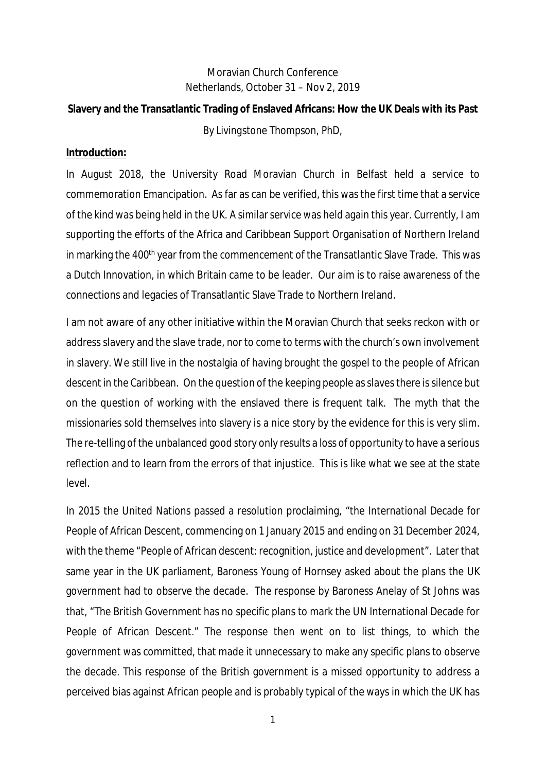# Moravian Church Conference Netherlands, October 31 – Nov 2, 2019

**Slavery and the Transatlantic Trading of Enslaved Africans: How the UK Deals with its Past** *By Livingstone Thompson, PhD,*

#### **Introduction:**

In August 2018, the University Road Moravian Church in Belfast held a service to commemoration Emancipation. As far as can be verified, this was the first time that a service of the kind was being held in the UK. A similar service was held again this year. Currently, I am supporting the efforts of the Africa and Caribbean Support Organisation of Northern Ireland in marking the 400<sup>th</sup> year from the commencement of the Transatlantic Slave Trade. This was a Dutch Innovation, in which Britain came to be leader. Our aim is to raise awareness of the connections and legacies of Transatlantic Slave Trade to Northern Ireland.

I am not aware of any other initiative within the Moravian Church that seeks reckon with or address slavery and the slave trade, nor to come to terms with the church's own involvement in slavery. We still live in the nostalgia of having brought the gospel to the people of African descent in the Caribbean. On the question of the keeping people as slaves there is silence but on the question of working with the enslaved there is frequent talk. The myth that the missionaries sold themselves into slavery is a nice story by the evidence for this is very slim. The re-telling of the unbalanced good story only results a loss of opportunity to have a serious reflection and to learn from the errors of that injustice. This is like what we see at the state level.

In 2015 the United Nations passed a resolution proclaiming, "the International Decade for People of African Descent, commencing on 1 January 2015 and ending on 31 December 2024, with the theme "People of African descent: recognition, justice and development". Later that same year in the UK parliament, Baroness Young of Hornsey asked about the plans the UK government had to observe the decade. The response by Baroness Anelay of St Johns was that, "The British Government has no specific plans to mark the UN International Decade for People of African Descent." The response then went on to list things, to which the government was committed, that made it unnecessary to make any specific plans to observe the decade. This response of the British government is a missed opportunity to address a perceived bias against African people and is probably typical of the ways in which the UK has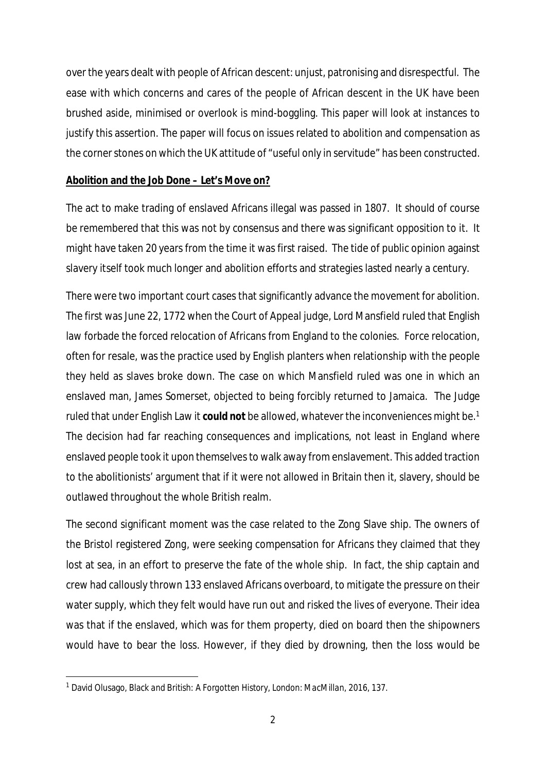over the years dealt with people of African descent: unjust, patronising and disrespectful. The ease with which concerns and cares of the people of African descent in the UK have been brushed aside, minimised or overlook is mind-boggling. This paper will look at instances to justify this assertion. The paper will focus on issues related to abolition and compensation as the corner stones on which the UK attitude of "useful only in servitude" has been constructed.

# **Abolition and the Job Done – Let's Move on?**

The act to make trading of enslaved Africans illegal was passed in 1807. It should of course be remembered that this was not by consensus and there was significant opposition to it. It might have taken 20 years from the time it was first raised. The tide of public opinion against slavery itself took much longer and abolition efforts and strategies lasted nearly a century.

There were two important court cases that significantly advance the movement for abolition. The first was June 22, 1772 when the Court of Appeal judge, Lord Mansfield ruled that English law forbade the forced relocation of Africans from England to the colonies. Force relocation, often for resale, was the practice used by English planters when relationship with the people they held as slaves broke down. The case on which Mansfield ruled was one in which an enslaved man, James Somerset, objected to being forcibly returned to Jamaica. The Judge ruled that under English Law it **could not** be allowed, whatever the inconveniences might be.<sup>1</sup> The decision had far reaching consequences and implications, not least in England where enslaved people took it upon themselves to walk away from enslavement. This added traction to the abolitionists' argument that if it were not allowed in Britain then it, slavery, should be outlawed throughout the whole British realm.

The second significant moment was the case related to the *Zong* Slave ship. The owners of the Bristol registered *Zong,* were seeking compensation for Africans they claimed that they lost at sea, in an effort to preserve the fate of the whole ship. In fact, the ship captain and crew had callously thrown 133 enslaved Africans overboard, to mitigate the pressure on their water supply, which they felt would have run out and risked the lives of everyone. Their idea was that if the enslaved, which was for them property, died on board then the shipowners would have to bear the loss. However, if they died by drowning, then the loss would be

<sup>1</sup> David Olusago, *Black and British: A Forgotten History, London: MacMillan, 2016,* 137.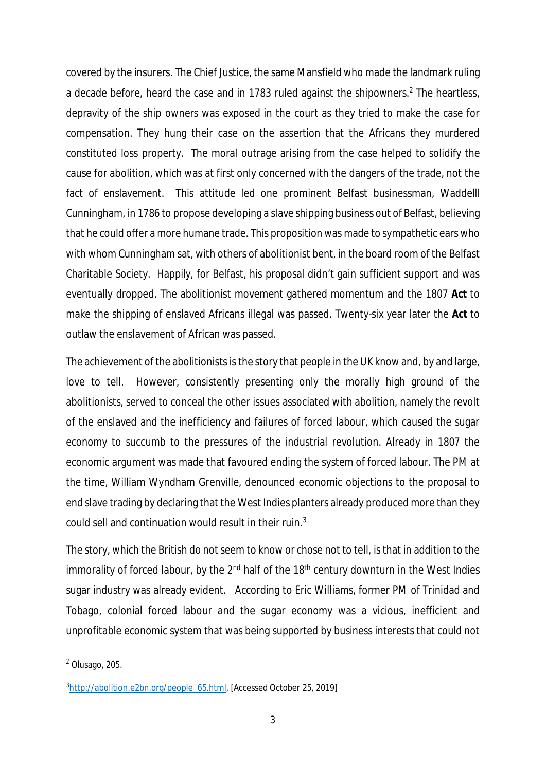covered by the insurers. The Chief Justice, the same Mansfield who made the landmark ruling a decade before, heard the case and in 1783 ruled against the shipowners.<sup>2</sup> The heartless, depravity of the ship owners was exposed in the court as they tried to make the case for compensation. They hung their case on the assertion that the Africans they murdered constituted loss property. The moral outrage arising from the case helped to solidify the cause for abolition, which was at first only concerned with the dangers of the trade, not the fact of enslavement. This attitude led one prominent Belfast businessman, Waddelll Cunningham, in 1786 to propose developing a slave shipping business out of Belfast, believing that he could offer a more humane trade. This proposition was made to sympathetic ears who with whom Cunningham sat, with others of abolitionist bent, in the board room of the Belfast Charitable Society. Happily, for Belfast, his proposal didn't gain sufficient support and was eventually dropped. The abolitionist movement gathered momentum and the 1807 **Act** to make the shipping of enslaved Africans illegal was passed. Twenty-six year later the **Act** to outlaw the enslavement of African was passed.

The achievement of the abolitionists is the story that people in the UK know and, by and large, love to tell. However, consistently presenting only the morally high ground of the abolitionists, served to conceal the other issues associated with abolition, namely the revolt of the enslaved and the inefficiency and failures of forced labour, which caused the sugar economy to succumb to the pressures of the industrial revolution. Already in 1807 the economic argument was made that favoured ending the system of forced labour. The PM at the time, William Wyndham Grenville, denounced economic objections to the proposal to end slave trading by declaring that the West Indies planters already produced more than they could sell and continuation would result in their ruin.<sup>3</sup>

The story, which the British do not seem to know or chose not to tell, is that in addition to the immorality of forced labour, by the  $2<sup>nd</sup>$  half of the  $18<sup>th</sup>$  century downturn in the West Indies sugar industry was already evident. According to Eric Williams, former PM of Trinidad and Tobago, colonial forced labour and the sugar economy was a vicious, inefficient and unprofitable economic system that was being supported by business interests that could not

<sup>&</sup>lt;sup>2</sup> Olusago, 205.

<sup>&</sup>lt;sup>3</sup>http://abolition.e2bn.org/people\_65.html, [Accessed October 25, 2019]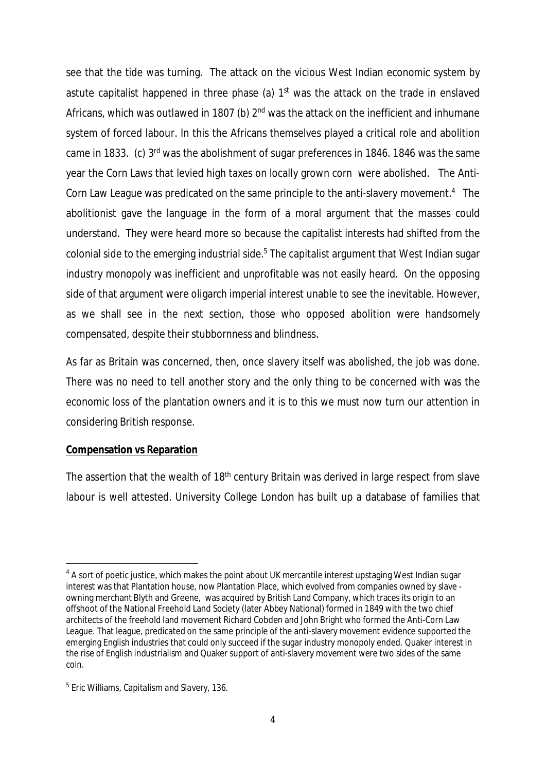see that the tide was turning. The attack on the vicious West Indian economic system by astute capitalist happened in three phase (a) 1<sup>st</sup> was the attack on the trade in enslaved Africans, which was outlawed in 1807 (b)  $2<sup>nd</sup>$  was the attack on the inefficient and inhumane system of forced labour. In this the Africans themselves played a critical role and abolition came in 1833. (c) 3rd was the abolishment of sugar preferences in 1846. 1846 was the same year the Corn Laws that levied high taxes on locally grown corn were abolished. The Anti-Corn Law League was predicated on the same principle to the anti-slavery movement.<sup>4</sup> The abolitionist gave the language in the form of a moral argument that the masses could understand. They were heard more so because the capitalist interests had shifted from the colonial side to the emerging industrial side.<sup>5</sup> The capitalist argument that West Indian sugar industry monopoly was inefficient and unprofitable was not easily heard. On the opposing side of that argument were oligarch imperial interest unable to see the inevitable. However, as we shall see in the next section, those who opposed abolition were handsomely compensated, despite their stubbornness and blindness.

As far as Britain was concerned, then, once slavery itself was abolished, the job was done. There was no need to tell another story and the only thing to be concerned with was the economic loss of the plantation owners and it is to this we must now turn our attention in considering British response.

### **Compensation vs Reparation**

The assertion that the wealth of 18<sup>th</sup> century Britain was derived in large respect from slave labour is well attested. University College London has built up a database of families that

<sup>&</sup>lt;sup>4</sup> A sort of poetic justice, which makes the point about UK mercantile interest upstaging West Indian sugar interest was that Plantation house, now Plantation Place, which evolved from companies owned by slave owning merchant Blyth and Greene, was acquired by British Land Company, which traces its origin to an offshoot of the National Freehold Land Society (later Abbey National) formed in 1849 with the two chief architects of the freehold land movement Richard Cobden and John Bright who formed the Anti-Corn Law League. That league, predicated on the same principle of the anti-slavery movement evidence supported the emerging English industries that could only succeed if the sugar industry monopoly ended. Quaker interest in the rise of English industrialism and Quaker support of anti-slavery movement were two sides of the same coin.

<sup>5</sup> Eric Williams, *Capitalism and Slavery, 136.*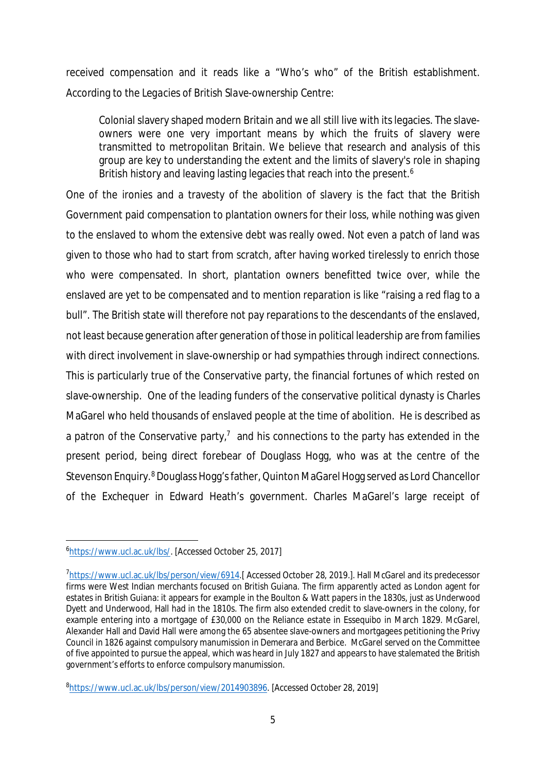received compensation and it reads like a "Who's who" of the British establishment. According to the *Legacies of British Slave-ownership* Centre:

Colonial slavery shaped modern Britain and we all still live with its legacies. The slaveowners were one very important means by which the fruits of slavery were transmitted to metropolitan Britain. We believe that research and analysis of this group are key to understanding the extent and the limits of slavery's role in shaping British history and leaving lasting legacies that reach into the present.<sup>6</sup>

One of the ironies and a travesty of the abolition of slavery is the fact that the British Government paid compensation to plantation owners for their loss, while nothing was given to the enslaved to whom the extensive debt was really owed. Not even a patch of land was given to those who had to start from scratch, after having worked tirelessly to enrich those who were compensated. In short, plantation owners benefitted twice over, while the enslaved are yet to be compensated and to mention reparation is like "raising a red flag to a bull". The British state will therefore not pay reparations to the descendants of the enslaved, not least because generation after generation of those in political leadership are from families with direct involvement in slave-ownership or had sympathies through indirect connections. This is particularly true of the Conservative party, the financial fortunes of which rested on slave-ownership. One of the leading funders of the conservative political dynasty is Charles MaGarel who held thousands of enslaved people at the time of abolition. He is described as a patron of the Conservative party,<sup>7</sup> and his connections to the party has extended in the present period, being direct forebear of Douglass Hogg, who was at the centre of the Stevenson Enquiry.<sup>8</sup> Douglass Hogg's father, Quinton MaGarel Hogg served as Lord Chancellor of the Exchequer in Edward Heath's government. Charles MaGarel's large receipt of

<sup>&</sup>lt;sup>6</sup>https://www.ucl.ac.uk/lbs/. [Accessed October 25, 2017]

<sup>&</sup>lt;sup>7</sup>https://www.ucl.ac.uk/lbs/person/view/6914.[Accessed October 28, 2019.]. Hall McGarel and its predecessor firms were West Indian merchants focused on British Guiana. The firm apparently acted as London agent for estates in British Guiana: it appears for example in the Boulton & Watt papers in the 1830s, just as Underwood Dyett and Underwood, Hall had in the 1810s. The firm also extended credit to slave-owners in the colony, for example entering into a mortgage of £30,000 on the Reliance estate in Essequibo in March 1829. McGarel, Alexander Hall and David Hall were among the 65 absentee slave-owners and mortgagees petitioning the Privy Council in 1826 against compulsory manumission in Demerara and Berbice. McGarel served on the Committee of five appointed to pursue the appeal, which was heard in July 1827 and appears to have stalemated the British government's efforts to enforce compulsory manumission.

<sup>8</sup>https://www.ucl.ac.uk/lbs/person/view/2014903896. [Accessed October 28, 2019]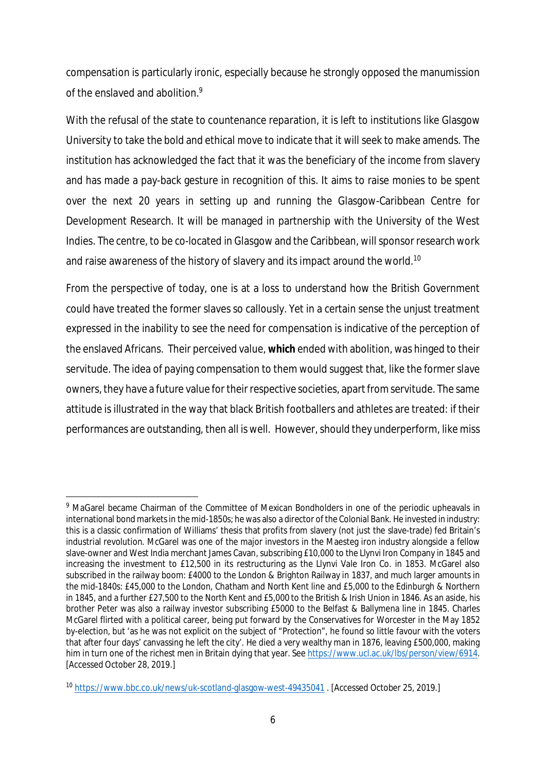compensation is particularly ironic, especially because he strongly opposed the manumission of the enslaved and abolition.<sup>9</sup>

With the refusal of the state to countenance reparation, it is left to institutions like Glasgow University to take the bold and ethical move to indicate that it will seek to make amends. The institution has acknowledged the fact that it was the beneficiary of the income from slavery and has made a pay-back gesture in recognition of this. It aims to raise monies to be spent over the next 20 years in setting up and running the Glasgow-Caribbean Centre for Development Research. It will be managed in partnership with the University of the West Indies. The centre, to be co-located in Glasgow and the Caribbean, will sponsor research work and raise awareness of the history of slavery and its impact around the world.<sup>10</sup>

From the perspective of today, one is at a loss to understand how the British Government could have treated the former slaves so callously. Yet in a certain sense the unjust treatment expressed in the inability to see the need for compensation is indicative of the perception of the enslaved Africans. Their perceived value, **which** ended with abolition, was hinged to their servitude. The idea of paying compensation to them would suggest that, like the former slave owners, they have a future value for their respective societies, apart from servitude. The same attitude is illustrated in the way that black British footballers and athletes are treated: if their performances are outstanding, then all is well. However, should they underperform, like miss

<sup>&</sup>lt;sup>9</sup> MaGarel became Chairman of the Committee of Mexican Bondholders in one of the periodic upheavals in international bond markets in the mid-1850s; he was also a director of the Colonial Bank. He invested in industry: this is a classic confirmation of Williams' thesis that profits from slavery (not just the slave-trade) fed Britain's industrial revolution. McGarel was one of the major investors in the Maesteg iron industry alongside a fellow slave-owner and West India merchant James Cavan, subscribing £10,000 to the Llynvi Iron Company in 1845 and increasing the investment to £12,500 in its restructuring as the Llynvi Vale Iron Co. in 1853. McGarel also subscribed in the railway boom: £4000 to the London & Brighton Railway in 1837, and much larger amounts in the mid-1840s: £45,000 to the London, Chatham and North Kent line and £5,000 to the Edinburgh & Northern in 1845, and a further £27,500 to the North Kent and £5,000 to the British & Irish Union in 1846. As an aside, his brother Peter was also a railway investor subscribing £5000 to the Belfast & Ballymena line in 1845. Charles McGarel flirted with a political career, being put forward by the Conservatives for Worcester in the May 1852 by-election, but 'as he was not explicit on the subject of "Protection", he found so little favour with the voters that after four days' canvassing he left the city'. He died a very wealthy man in 1876, leaving £500,000, making him in turn one of the richest men in Britain dying that year. See https://www.ucl.ac.uk/lbs/person/view/6914. [Accessed October 28, 2019.]

<sup>10</sup> https://www.bbc.co.uk/news/uk-scotland-glasgow-west-49435041 . [Accessed October 25, 2019.]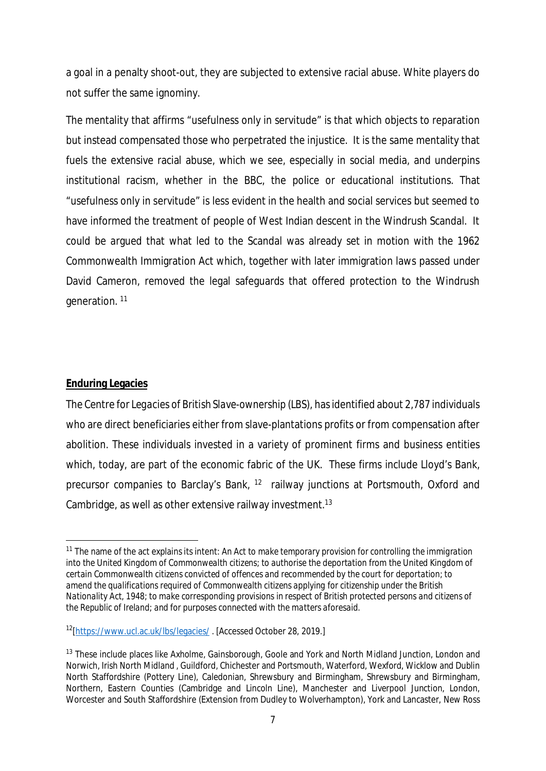a goal in a penalty shoot-out, they are subjected to extensive racial abuse. White players do not suffer the same ignominy.

The mentality that affirms "usefulness only in servitude" is that which objects to reparation but instead compensated those who perpetrated the injustice. It is the same mentality that fuels the extensive racial abuse, which we see, especially in social media, and underpins institutional racism, whether in the BBC, the police or educational institutions. That "usefulness only in servitude" is less evident in the health and social services but seemed to have informed the treatment of people of West Indian descent in the Windrush Scandal. It could be argued that what led to the Scandal was already set in motion with the 1962 Commonwealth Immigration Act which, together with later immigration laws passed under David Cameron, removed the legal safeguards that offered protection to the Windrush generation.<sup>11</sup>

# **Enduring Legacies**

The Centre for *Legacies of British Slave-ownership (LBS),* has identified about 2,787 individuals who are direct beneficiaries either from slave-plantations profits or from compensation after abolition. These individuals invested in a variety of prominent firms and business entities which, today, are part of the economic fabric of the UK. These firms include Lloyd's Bank, precursor companies to Barclay's Bank, <sup>12</sup> railway junctions at Portsmouth, Oxford and Cambridge, as well as other extensive railway investment.<sup>13</sup>

<sup>11</sup> The name of the act explains its intent: *An Act to make temporary provision for controlling the immigration into the United Kingdom of Commonwealth citizens; to authorise the deportation from the United Kingdom of certain Commonwealth citizens convicted of offences and recommended by the court for deportation; to amend the qualifications required of Commonwealth citizens applying for citizenship under the British Nationality Act, 1948; to make corresponding provisions in respect of British protected persons and citizens of the Republic of Ireland; and for purposes connected with the matters aforesaid*.

<sup>12</sup>[https://www.ucl.ac.uk/lbs/legacies/ . [Accessed October 28, 2019.]

<sup>&</sup>lt;sup>13</sup> These include places like Axholme, Gainsborough, Goole and York and North Midland Junction, London and Norwich, Irish North Midland , Guildford, Chichester and Portsmouth, Waterford, Wexford, Wicklow and Dublin North Staffordshire (Pottery Line), Caledonian, Shrewsbury and Birmingham, Shrewsbury and Birmingham, Northern, Eastern Counties (Cambridge and Lincoln Line), Manchester and Liverpool Junction, London, Worcester and South Staffordshire (Extension from Dudley to Wolverhampton), York and Lancaster, New Ross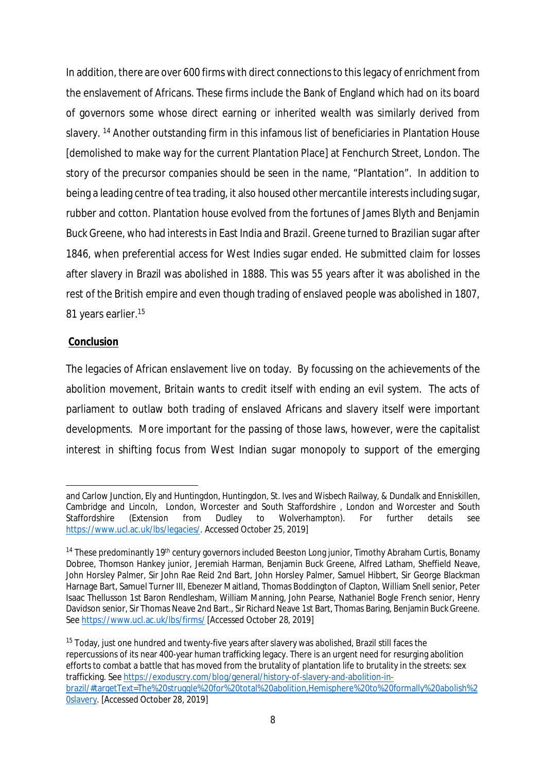In addition, there are over 600 firms with direct connections to this legacy of enrichment from the enslavement of Africans. These firms include the Bank of England which had on its board of governors some whose direct earning or inherited wealth was similarly derived from slavery. <sup>14</sup> Another outstanding firm in this infamous list of beneficiaries in Plantation House [demolished to make way for the current Plantation Place] at Fenchurch Street, London. The story of the precursor companies should be seen in the name, "Plantation". In addition to being a leading centre of tea trading, it also housed other mercantile interests including sugar, rubber and cotton. Plantation house evolved from the fortunes of James Blyth and Benjamin Buck Greene, who had interests in East India and Brazil. Greene turned to Brazilian sugar after 1846, when preferential access for West Indies sugar ended. He submitted claim for losses after slavery in Brazil was abolished in 1888. This was 55 years after it was abolished in the rest of the British empire and even though trading of enslaved people was abolished in 1807, 81 years earlier.<sup>15</sup>

### **Conclusion**

The legacies of African enslavement live on today. By focussing on the achievements of the abolition movement, Britain wants to credit itself with ending an evil system. The acts of parliament to outlaw both trading of enslaved Africans and slavery itself were important developments. More important for the passing of those laws, however, were the capitalist interest in shifting focus from West Indian sugar monopoly to support of the emerging

and Carlow Junction, Ely and Huntingdon, Huntingdon, St. Ives and Wisbech Railway, & Dundalk and Enniskillen, Cambridge and Lincoln, London, Worcester and South Staffordshire , London and Worcester and South Staffordshire (Extension from Dudley to Wolverhampton). For further details see https://www.ucl.ac.uk/lbs/legacies/. Accessed October 25, 2019]

<sup>&</sup>lt;sup>14</sup> These predominantly 19<sup>th</sup> century governors included Beeston Long junior, Timothy Abraham Curtis, Bonamy Dobree, Thomson Hankey junior, Jeremiah Harman, Benjamin Buck Greene, Alfred Latham, Sheffield Neave, John Horsley Palmer, Sir John Rae Reid 2nd Bart, John Horsley Palmer, Samuel Hibbert, Sir George Blackman Harnage Bart, Samuel Turner III, Ebenezer Maitland, Thomas Boddington of Clapton, William Snell senior, Peter Isaac Thellusson 1st Baron Rendlesham, William Manning, John Pearse, Nathaniel Bogle French senior, Henry Davidson senior, Sir Thomas Neave 2nd Bart., Sir Richard Neave 1st Bart, Thomas Baring, Benjamin Buck Greene. See https://www.ucl.ac.uk/lbs/firms/ [Accessed October 28, 2019]

<sup>&</sup>lt;sup>15</sup> Today, just one hundred and twenty-five years after slavery was abolished, Brazil still faces the repercussions of its near 400-year human trafficking legacy. There is an urgent need for resurging abolition efforts to combat a battle that has moved from the brutality of plantation life to brutality in the streets: sex trafficking. See https://exoduscry.com/blog/general/history-of-slavery-and-abolition-inbrazil/#targetText=The%20struggle%20for%20total%20abolition,Hemisphere%20to%20formally%20abolish%2 0slavery. [Accessed October 28, 2019]